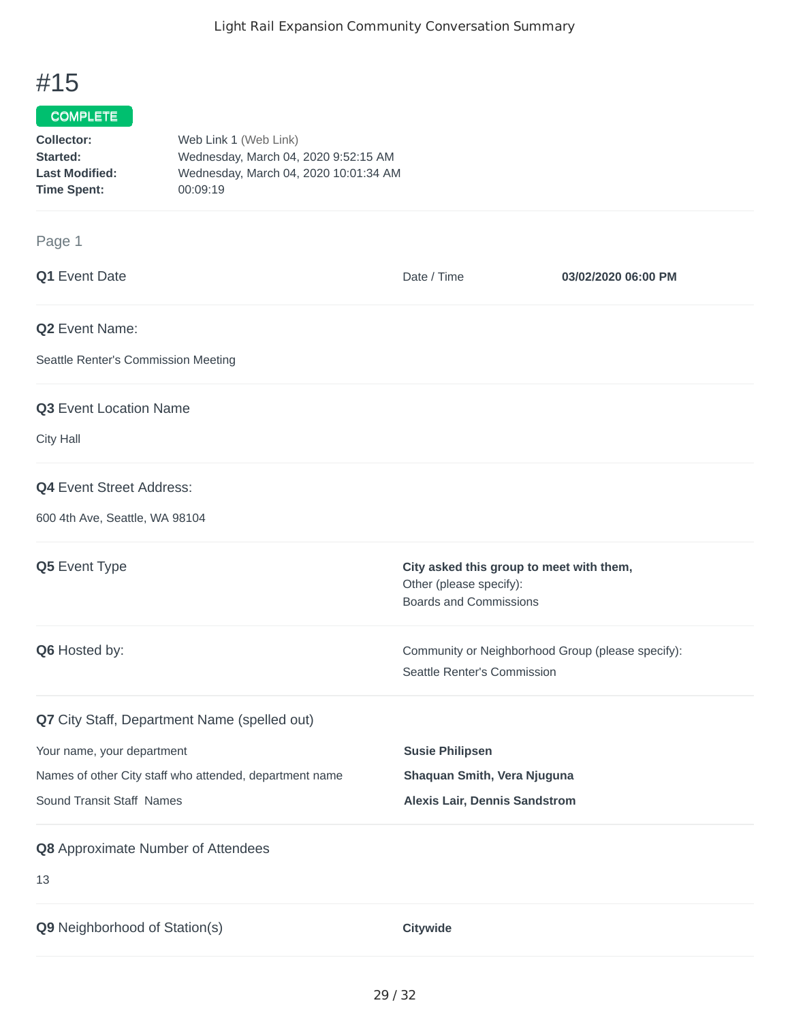## #15

## COMPLETE

| Collector:            | Web Link 1 (Web Link)                 |
|-----------------------|---------------------------------------|
| Started:              | Wednesday, March 04, 2020 9:52:15 AM  |
| <b>Last Modified:</b> | Wednesday, March 04, 2020 10:01:34 AM |
| <b>Time Spent:</b>    | 00:09:19                              |
|                       |                                       |

## Page 1

| Q1 Event Date                                           | Date / Time                                                                                          | 03/02/2020 06:00 PM |
|---------------------------------------------------------|------------------------------------------------------------------------------------------------------|---------------------|
| Q2 Event Name:                                          |                                                                                                      |                     |
| Seattle Renter's Commission Meeting                     |                                                                                                      |                     |
| Q3 Event Location Name                                  |                                                                                                      |                     |
| City Hall                                               |                                                                                                      |                     |
| Q4 Event Street Address:                                |                                                                                                      |                     |
| 600 4th Ave, Seattle, WA 98104                          |                                                                                                      |                     |
| Q5 Event Type                                           | City asked this group to meet with them,<br>Other (please specify):<br><b>Boards and Commissions</b> |                     |
| Q6 Hosted by:                                           | Community or Neighborhood Group (please specify):<br>Seattle Renter's Commission                     |                     |
| Q7 City Staff, Department Name (spelled out)            |                                                                                                      |                     |
| Your name, your department                              | <b>Susie Philipsen</b>                                                                               |                     |
| Names of other City staff who attended, department name | Shaquan Smith, Vera Njuguna                                                                          |                     |
| Sound Transit Staff Names                               | <b>Alexis Lair, Dennis Sandstrom</b>                                                                 |                     |
| Q8 Approximate Number of Attendees                      |                                                                                                      |                     |
| 13                                                      |                                                                                                      |                     |
| Q9 Neighborhood of Station(s)                           | Citywide                                                                                             |                     |